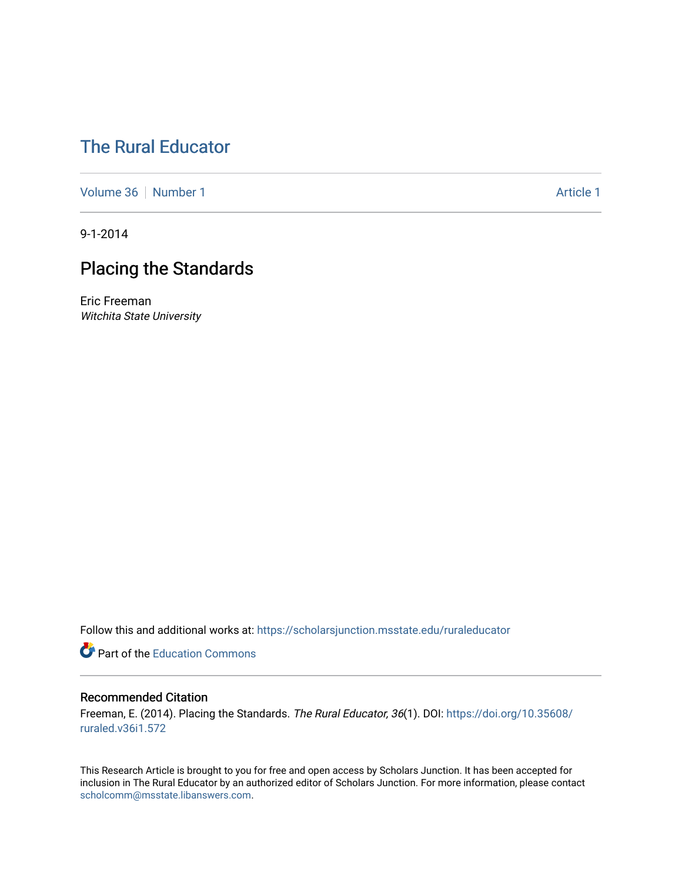# [The Rural Educator](https://scholarsjunction.msstate.edu/ruraleducator)

[Volume 36](https://scholarsjunction.msstate.edu/ruraleducator/vol36) [Number 1](https://scholarsjunction.msstate.edu/ruraleducator/vol36/iss1) Article 1

9-1-2014

# Placing the Standards

Eric Freeman Witchita State University

Follow this and additional works at: [https://scholarsjunction.msstate.edu/ruraleducator](https://scholarsjunction.msstate.edu/ruraleducator?utm_source=scholarsjunction.msstate.edu%2Fruraleducator%2Fvol36%2Fiss1%2F1&utm_medium=PDF&utm_campaign=PDFCoverPages)

**C** Part of the [Education Commons](http://network.bepress.com/hgg/discipline/784?utm_source=scholarsjunction.msstate.edu%2Fruraleducator%2Fvol36%2Fiss1%2F1&utm_medium=PDF&utm_campaign=PDFCoverPages)

### Recommended Citation

Freeman, E. (2014). Placing the Standards. The Rural Educator, 36(1). DOI: [https://doi.org/10.35608/](https://doi.org/10.35608/ruraled.v36i1.572) [ruraled.v36i1.572](https://doi.org/10.35608/ruraled.v36i1.572)

This Research Article is brought to you for free and open access by Scholars Junction. It has been accepted for inclusion in The Rural Educator by an authorized editor of Scholars Junction. For more information, please contact [scholcomm@msstate.libanswers.com.](mailto:scholcomm@msstate.libanswers.com)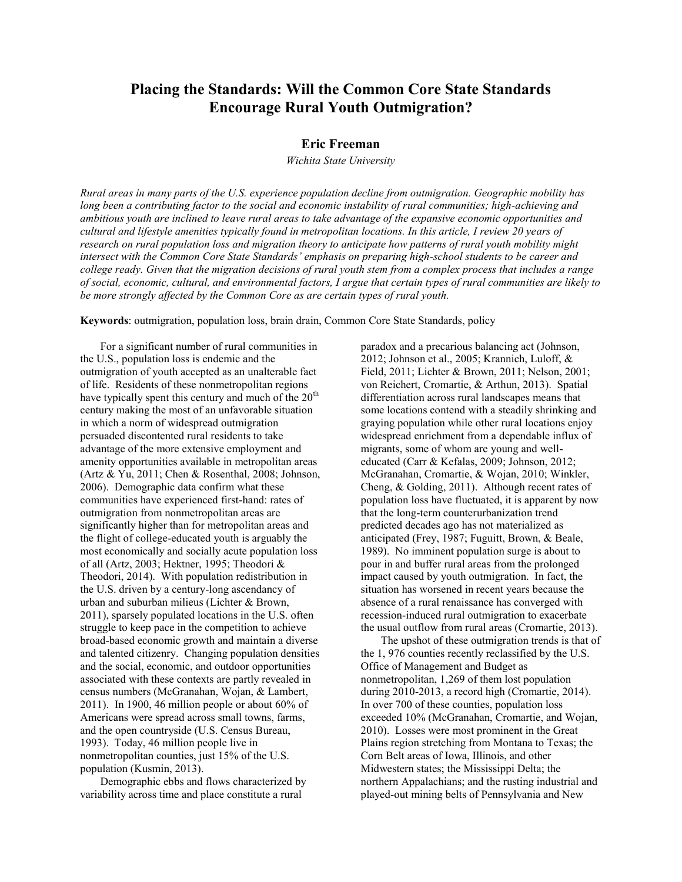### **Placing the Standards: Will the Common Core State Standards Encourage Rural Youth Outmigration?**

#### **Eric Freeman**

*Wichita State University*

*Rural areas in many parts of the U.S. experience population decline from outmigration. Geographic mobility has long been a contributing factor to the social and economic instability of rural communities; high-achieving and ambitious youth are inclined to leave rural areas to take advantage of the expansive economic opportunities and cultural and lifestyle amenities typically found in metropolitan locations. In this article, I review 20 years of research on rural population loss and migration theory to anticipate how patterns of rural youth mobility might intersect with the Common Core State Standards' emphasis on preparing high-school students to be career and college ready. Given that the migration decisions of rural youth stem from a complex process that includes a range of social, economic, cultural, and environmental factors, I argue that certain types of rural communities are likely to be more strongly affected by the Common Core as are certain types of rural youth.*

**Keywords**: outmigration, population loss, brain drain, Common Core State Standards, policy

For a significant number of rural communities in the U.S., population loss is endemic and the outmigration of youth accepted as an unalterable fact of life. Residents of these nonmetropolitan regions have typically spent this century and much of the  $20<sup>th</sup>$ century making the most of an unfavorable situation in which a norm of widespread outmigration persuaded discontented rural residents to take advantage of the more extensive employment and amenity opportunities available in metropolitan areas (Artz & Yu, 2011; Chen & Rosenthal, 2008; Johnson, 2006). Demographic data confirm what these communities have experienced first-hand: rates of outmigration from nonmetropolitan areas are significantly higher than for metropolitan areas and the flight of college-educated youth is arguably the most economically and socially acute population loss of all (Artz, 2003; Hektner, 1995; Theodori & Theodori, 2014). With population redistribution in the U.S. driven by a century-long ascendancy of urban and suburban milieus (Lichter & Brown, 2011), sparsely populated locations in the U.S. often struggle to keep pace in the competition to achieve broad-based economic growth and maintain a diverse and talented citizenry. Changing population densities and the social, economic, and outdoor opportunities associated with these contexts are partly revealed in census numbers (McGranahan, Wojan, & Lambert, 2011). In 1900, 46 million people or about 60% of Americans were spread across small towns, farms, and the open countryside (U.S. Census Bureau, 1993). Today, 46 million people live in nonmetropolitan counties, just 15% of the U.S. population (Kusmin, 2013).

Demographic ebbs and flows characterized by variability across time and place constitute a rural

paradox and a precarious balancing act (Johnson, 2012; Johnson et al., 2005; Krannich, Luloff, & Field, 2011; Lichter & Brown, 2011; Nelson, 2001; von Reichert, Cromartie, & Arthun, 2013). Spatial differentiation across rural landscapes means that some locations contend with a steadily shrinking and graying population while other rural locations enjoy widespread enrichment from a dependable influx of migrants, some of whom are young and welleducated (Carr & Kefalas, 2009; Johnson, 2012; McGranahan, Cromartie, & Wojan, 2010; Winkler, Cheng, & Golding, 2011). Although recent rates of population loss have fluctuated, it is apparent by now that the long-term counterurbanization trend predicted decades ago has not materialized as anticipated (Frey, 1987; Fuguitt, Brown, & Beale, 1989). No imminent population surge is about to pour in and buffer rural areas from the prolonged impact caused by youth outmigration. In fact, the situation has worsened in recent years because the absence of a rural renaissance has converged with recession-induced rural outmigration to exacerbate the usual outflow from rural areas (Cromartie, 2013).

The upshot of these outmigration trends is that of the 1, 976 counties recently reclassified by the U.S. Office of Management and Budget as nonmetropolitan, 1,269 of them lost population during 2010-2013, a record high (Cromartie, 2014). In over 700 of these counties, population loss exceeded 10% (McGranahan, Cromartie, and Wojan, 2010). Losses were most prominent in the Great Plains region stretching from Montana to Texas; the Corn Belt areas of Iowa, Illinois, and other Midwestern states; the Mississippi Delta; the northern Appalachians; and the rusting industrial and played-out mining belts of Pennsylvania and New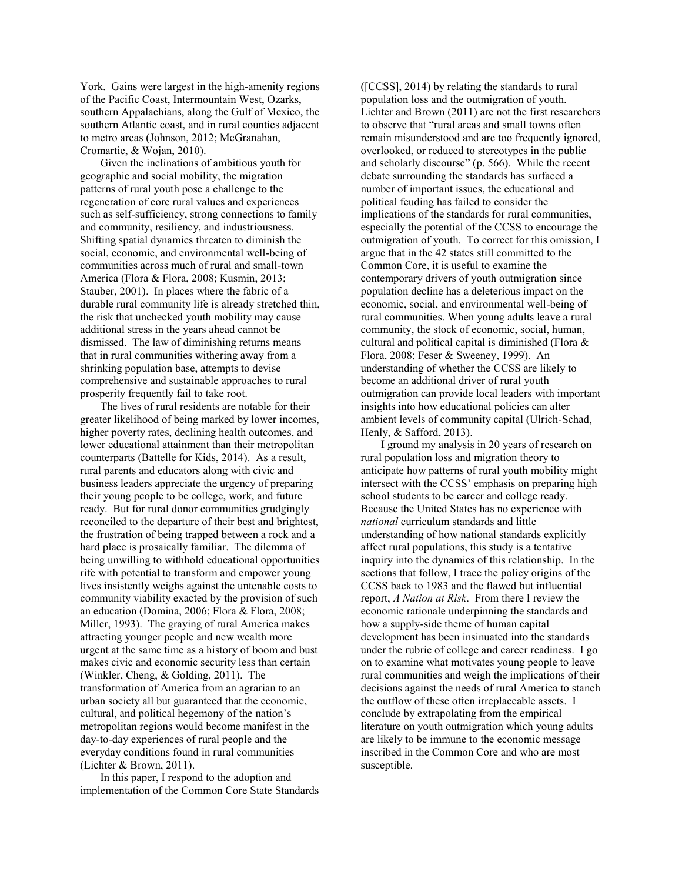York. Gains were largest in the high-amenity regions of the Pacific Coast, Intermountain West, Ozarks, southern Appalachians, along the Gulf of Mexico, the southern Atlantic coast, and in rural counties adjacent to metro areas (Johnson, 2012; McGranahan, Cromartie, & Wojan, 2010).

Given the inclinations of ambitious youth for geographic and social mobility, the migration patterns of rural youth pose a challenge to the regeneration of core rural values and experiences such as self-sufficiency, strong connections to family and community, resiliency, and industriousness. Shifting spatial dynamics threaten to diminish the social, economic, and environmental well-being of communities across much of rural and small-town America (Flora & Flora, 2008; Kusmin, 2013; Stauber, 2001). In places where the fabric of a durable rural community life is already stretched thin, the risk that unchecked youth mobility may cause additional stress in the years ahead cannot be dismissed. The law of diminishing returns means that in rural communities withering away from a shrinking population base, attempts to devise comprehensive and sustainable approaches to rural prosperity frequently fail to take root.

The lives of rural residents are notable for their greater likelihood of being marked by lower incomes, higher poverty rates, declining health outcomes, and lower educational attainment than their metropolitan counterparts (Battelle for Kids, 2014). As a result, rural parents and educators along with civic and business leaders appreciate the urgency of preparing their young people to be college, work, and future ready. But for rural donor communities grudgingly reconciled to the departure of their best and brightest, the frustration of being trapped between a rock and a hard place is prosaically familiar. The dilemma of being unwilling to withhold educational opportunities rife with potential to transform and empower young lives insistently weighs against the untenable costs to community viability exacted by the provision of such an education (Domina, 2006; Flora & Flora, 2008; Miller, 1993). The graying of rural America makes attracting younger people and new wealth more urgent at the same time as a history of boom and bust makes civic and economic security less than certain (Winkler, Cheng, & Golding, 2011). The transformation of America from an agrarian to an urban society all but guaranteed that the economic, cultural, and political hegemony of the nation's metropolitan regions would become manifest in the day-to-day experiences of rural people and the everyday conditions found in rural communities (Lichter & Brown, 2011).

In this paper, I respond to the adoption and implementation of the Common Core State Standards ([CCSS], 2014) by relating the standards to rural population loss and the outmigration of youth. Lichter and Brown (2011) are not the first researchers to observe that "rural areas and small towns often remain misunderstood and are too frequently ignored, overlooked, or reduced to stereotypes in the public and scholarly discourse" (p. 566). While the recent debate surrounding the standards has surfaced a number of important issues, the educational and political feuding has failed to consider the implications of the standards for rural communities, especially the potential of the CCSS to encourage the outmigration of youth. To correct for this omission, I argue that in the 42 states still committed to the Common Core, it is useful to examine the contemporary drivers of youth outmigration since population decline has a deleterious impact on the economic, social, and environmental well-being of rural communities. When young adults leave a rural community, the stock of economic, social, human, cultural and political capital is diminished (Flora & Flora, 2008; Feser & Sweeney, 1999). An understanding of whether the CCSS are likely to become an additional driver of rural youth outmigration can provide local leaders with important insights into how educational policies can alter ambient levels of community capital (Ulrich-Schad, Henly, & Safford, 2013).

I ground my analysis in 20 years of research on rural population loss and migration theory to anticipate how patterns of rural youth mobility might intersect with the CCSS' emphasis on preparing high school students to be career and college ready. Because the United States has no experience with *national* curriculum standards and little understanding of how national standards explicitly affect rural populations, this study is a tentative inquiry into the dynamics of this relationship. In the sections that follow, I trace the policy origins of the CCSS back to 1983 and the flawed but influential report, *A Nation at Risk*. From there I review the economic rationale underpinning the standards and how a supply-side theme of human capital development has been insinuated into the standards under the rubric of college and career readiness. I go on to examine what motivates young people to leave rural communities and weigh the implications of their decisions against the needs of rural America to stanch the outflow of these often irreplaceable assets. I conclude by extrapolating from the empirical literature on youth outmigration which young adults are likely to be immune to the economic message inscribed in the Common Core and who are most susceptible.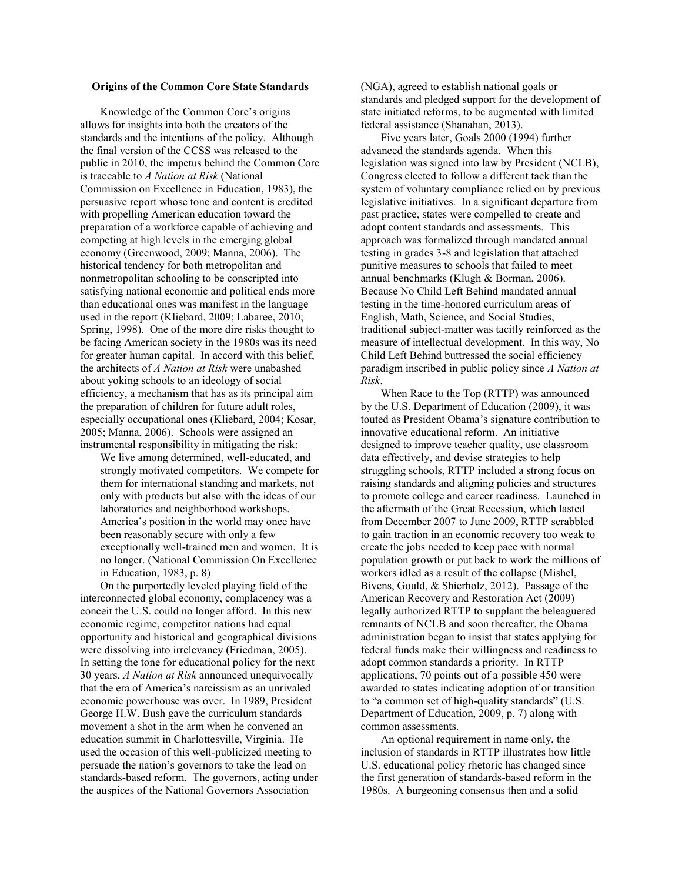#### **Origins of the Common Core State Standards**

Knowledge of the Common Core's origins allows for insights into both the creators of the standards and the intentions of the policy. Although the final version of the CCSS was released to the public in 2010, the impetus behind the Common Core is traceable to *A Nation at Risk* (National Commission on Excellence in Education, 1983), the persuasive report whose tone and content is credited with propelling American education toward the preparation of a workforce capable of achieving and competing at high levels in the emerging global economy (Greenwood, 2009; Manna, 2006). The historical tendency for both metropolitan and nonmetropolitan schooling to be conscripted into satisfying national economic and political ends more than educational ones was manifest in the language used in the report (Kliebard, 2009; Labaree, 2010; Spring, 1998). One of the more dire risks thought to be facing American society in the 1980s was its need for greater human capital. In accord with this belief, the architects of *A Nation at Risk* were unabashed about yoking schools to an ideology of social efficiency, a mechanism that has as its principal aim the preparation of children for future adult roles, especially occupational ones (Kliebard, 2004; Kosar, 2005; Manna, 2006). Schools were assigned an instrumental responsibility in mitigating the risk:

We live among determined, well-educated, and strongly motivated competitors. We compete for them for international standing and markets, not only with products but also with the ideas of our laboratories and neighborhood workshops. America's position in the world may once have been reasonably secure with only a few exceptionally well-trained men and women. It is no longer. (National Commission On Excellence in Education, 1983, p. 8)

On the purportedly leveled playing field of the interconnected global economy, complacency was a conceit the U.S. could no longer afford. In this new economic regime, competitor nations had equal opportunity and historical and geographical divisions were dissolving into irrelevancy (Friedman, 2005). In setting the tone for educational policy for the next 30 years, *A Nation at Risk* announced unequivocally that the era of America's narcissism as an unrivaled economic powerhouse was over. In 1989, President George H.W. Bush gave the curriculum standards movement a shot in the arm when he convened an education summit in Charlottesville, Virginia. He used the occasion of this well-publicized meeting to persuade the nation's governors to take the lead on standards-based reform. The governors, acting under the auspices of the National Governors Association

(NGA), agreed to establish national goals or standards and pledged support for the development of state initiated reforms, to be augmented with limited federal assistance (Shanahan, 2013).

Five years later, Goals 2000 (1994) further advanced the standards agenda. When this legislation was signed into law by President (NCLB), Congress elected to follow a different tack than the system of voluntary compliance relied on by previous legislative initiatives. In a significant departure from past practice, states were compelled to create and adopt content standards and assessments. This approach was formalized through mandated annual testing in grades 3-8 and legislation that attached punitive measures to schools that failed to meet annual benchmarks (Klugh & Borman, 2006). Because No Child Left Behind mandated annual testing in the time-honored curriculum areas of English, Math, Science, and Social Studies, traditional subject-matter was tacitly reinforced as the measure of intellectual development. In this way, No Child Left Behind buttressed the social efficiency paradigm inscribed in public policy since *A Nation at Risk*.

When Race to the Top (RTTP) was announced by the U.S. Department of Education (2009), it was touted as President Obama's signature contribution to innovative educational reform. An initiative designed to improve teacher quality, use classroom data effectively, and devise strategies to help struggling schools, RTTP included a strong focus on raising standards and aligning policies and structures to promote college and career readiness. Launched in the aftermath of the Great Recession, which lasted from December 2007 to June 2009, RTTP scrabbled to gain traction in an economic recovery too weak to create the jobs needed to keep pace with normal population growth or put back to work the millions of workers idled as a result of the collapse (Mishel, Bivens, Gould, & Shierholz, 2012). Passage of the American Recovery and Restoration Act (2009) legally authorized RTTP to supplant the beleaguered remnants of NCLB and soon thereafter, the Obama administration began to insist that states applying for federal funds make their willingness and readiness to adopt common standards a priority. In RTTP applications, 70 points out of a possible 450 were awarded to states indicating adoption of or transition to "a common set of high-quality standards" (U.S. Department of Education, 2009, p. 7) along with common assessments.

An optional requirement in name only, the inclusion of standards in RTTP illustrates how little U.S. educational policy rhetoric has changed since the first generation of standards-based reform in the 1980s. A burgeoning consensus then and a solid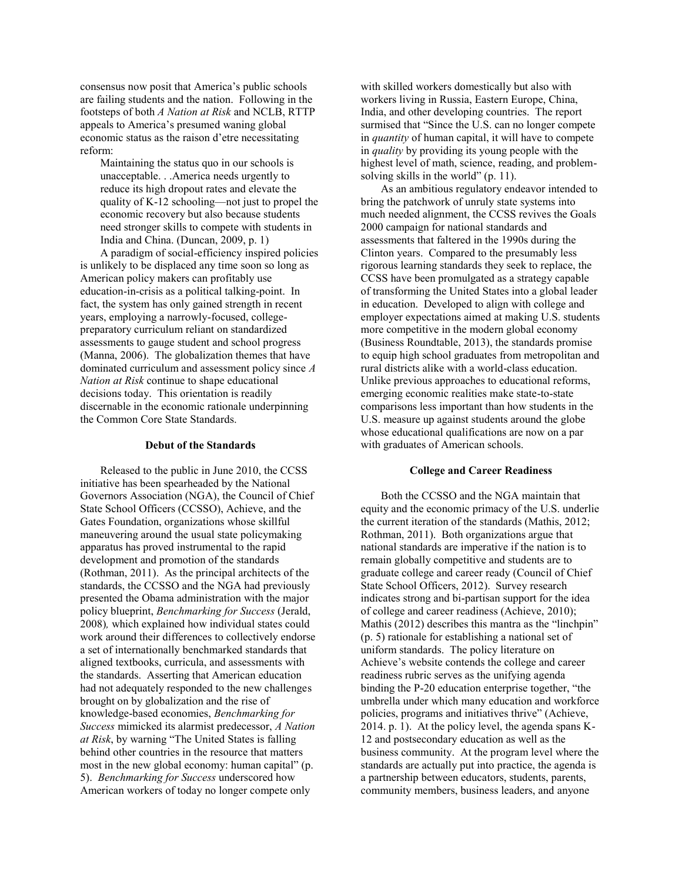consensus now posit that America's public schools are failing students and the nation. Following in the footsteps of both *A Nation at Risk* and NCLB, RTTP appeals to America's presumed waning global economic status as the raison d'etre necessitating reform:

Maintaining the status quo in our schools is unacceptable. . .America needs urgently to reduce its high dropout rates and elevate the quality of K-12 schooling—not just to propel the economic recovery but also because students need stronger skills to compete with students in India and China. (Duncan, 2009, p. 1)

A paradigm of social-efficiency inspired policies is unlikely to be displaced any time soon so long as American policy makers can profitably use education-in-crisis as a political talking-point. In fact, the system has only gained strength in recent years, employing a narrowly-focused, collegepreparatory curriculum reliant on standardized assessments to gauge student and school progress (Manna, 2006). The globalization themes that have dominated curriculum and assessment policy since *A Nation at Risk* continue to shape educational decisions today. This orientation is readily discernable in the economic rationale underpinning the Common Core State Standards.

#### **Debut of the Standards**

Released to the public in June 2010, the CCSS initiative has been spearheaded by the National Governors Association (NGA), the Council of Chief State School Officers (CCSSO), Achieve, and the Gates Foundation, organizations whose skillful maneuvering around the usual state policymaking apparatus has proved instrumental to the rapid development and promotion of the standards (Rothman, 2011). As the principal architects of the standards, the CCSSO and the NGA had previously presented the Obama administration with the major policy blueprint, *Benchmarking for Success* (Jerald, 2008)*,* which explained how individual states could work around their differences to collectively endorse a set of internationally benchmarked standards that aligned textbooks, curricula, and assessments with the standards. Asserting that American education had not adequately responded to the new challenges brought on by globalization and the rise of knowledge-based economies, *Benchmarking for Success* mimicked its alarmist predecessor, *A Nation at Risk*, by warning "The United States is falling behind other countries in the resource that matters most in the new global economy: human capital" (p. 5). *Benchmarking for Success* underscored how American workers of today no longer compete only

with skilled workers domestically but also with workers living in Russia, Eastern Europe, China, India, and other developing countries. The report surmised that "Since the U.S. can no longer compete in *quantity* of human capital, it will have to compete in *quality* by providing its young people with the highest level of math, science, reading, and problemsolving skills in the world" (p. 11).

As an ambitious regulatory endeavor intended to bring the patchwork of unruly state systems into much needed alignment, the CCSS revives the Goals 2000 campaign for national standards and assessments that faltered in the 1990s during the Clinton years. Compared to the presumably less rigorous learning standards they seek to replace, the CCSS have been promulgated as a strategy capable of transforming the United States into a global leader in education. Developed to align with college and employer expectations aimed at making U.S. students more competitive in the modern global economy (Business Roundtable, 2013), the standards promise to equip high school graduates from metropolitan and rural districts alike with a world-class education. Unlike previous approaches to educational reforms, emerging economic realities make state-to-state comparisons less important than how students in the U.S. measure up against students around the globe whose educational qualifications are now on a par with graduates of American schools.

#### **College and Career Readiness**

Both the CCSSO and the NGA maintain that equity and the economic primacy of the U.S. underlie the current iteration of the standards (Mathis, 2012; Rothman, 2011). Both organizations argue that national standards are imperative if the nation is to remain globally competitive and students are to graduate college and career ready (Council of Chief State School Officers, 2012). Survey research indicates strong and bi-partisan support for the idea of college and career readiness (Achieve, 2010); Mathis (2012) describes this mantra as the "linchpin" (p. 5) rationale for establishing a national set of uniform standards. The policy literature on Achieve's website contends the college and career readiness rubric serves as the unifying agenda binding the P-20 education enterprise together, "the umbrella under which many education and workforce policies, programs and initiatives thrive" (Achieve, 2014. p. 1). At the policy level, the agenda spans K-12 and postsecondary education as well as the business community. At the program level where the standards are actually put into practice, the agenda is a partnership between educators, students, parents, community members, business leaders, and anyone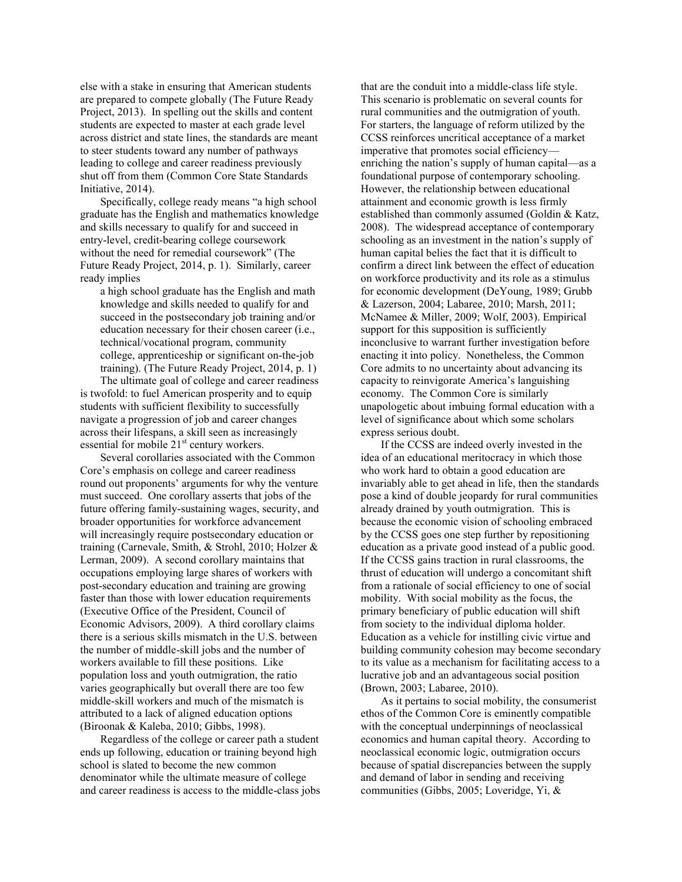else with a stake in ensuring that American students are prepared to compete globally (The Future Ready Project, 2013). In spelling out the skills and content students are expected to master at each grade level across district and state lines, the standards are meant to steer students toward any number of pathways leading to college and career readiness previously shut off from them (Common Core State Standards Initiative, 2014).

Specifically, college ready means "a high school graduate has the English and mathematics knowledge and skills necessary to qualify for and succeed in entry-level, credit-bearing college coursework without the need for remedial coursework" (The Future Ready Project, 2014, p. 1). Similarly, career ready implies

a high school graduate has the English and math knowledge and skills needed to qualify for and succeed in the postsecondary job training and/or education necessary for their chosen career (i.e., technical/vocational program, community college, apprenticeship or significant on-the-job training). (The Future Ready Project, 2014, p. 1)

The ultimate goal of college and career readiness is twofold: to fuel American prosperity and to equip students with sufficient flexibility to successfully navigate a progression of job and career changes across their lifespans, a skill seen as increasingly essential for mobile  $21<sup>st</sup>$  century workers.

Several corollaries associated with the Common Core's emphasis on college and career readiness round out proponents' arguments for why the venture must succeed. One corollary asserts that jobs of the future offering family-sustaining wages, security, and broader opportunities for workforce advancement will increasingly require postsecondary education or training (Carnevale, Smith, & Strohl, 2010; Holzer & Lerman, 2009). A second corollary maintains that occupations employing large shares of workers with post-secondary education and training are growing faster than those with lower education requirements (Executive Office of the President, Council of Economic Advisors, 2009). A third corollary claims there is a serious skills mismatch in the U.S. between the number of middle-skill jobs and the number of workers available to fill these positions. Like population loss and youth outmigration, the ratio varies geographically but overall there are too few middle-skill workers and much of the mismatch is attributed to a lack of aligned education options (Biroonak & Kaleba, 2010; Gibbs, 1998).

Regardless of the college or career path a student ends up following, education or training beyond high school is slated to become the new common denominator while the ultimate measure of college and career readiness is access to the middle-class jobs that are the conduit into a middle-class life style. This scenario is problematic on several counts for rural communities and the outmigration of youth. For starters, the language of reform utilized by the CCSS reinforces uncritical acceptance of a market imperative that promotes social efficiency enriching the nation's supply of human capital—as a foundational purpose of contemporary schooling. However, the relationship between educational attainment and economic growth is less firmly established than commonly assumed (Goldin & Katz, 2008). The widespread acceptance of contemporary schooling as an investment in the nation's supply of human capital belies the fact that it is difficult to confirm a direct link between the effect of education on workforce productivity and its role as a stimulus for economic development (DeYoung, 1989; Grubb & Lazerson, 2004; Labaree, 2010; Marsh, 2011; McNamee & Miller, 2009; Wolf, 2003). Empirical support for this supposition is sufficiently inconclusive to warrant further investigation before enacting it into policy. Nonetheless, the Common Core admits to no uncertainty about advancing its capacity to reinvigorate America's languishing economy. The Common Core is similarly unapologetic about imbuing formal education with a level of significance about which some scholars express serious doubt.

If the CCSS are indeed overly invested in the idea of an educational meritocracy in which those who work hard to obtain a good education are invariably able to get ahead in life, then the standards pose a kind of double jeopardy for rural communities already drained by youth outmigration. This is because the economic vision of schooling embraced by the CCSS goes one step further by repositioning education as a private good instead of a public good. If the CCSS gains traction in rural classrooms, the thrust of education will undergo a concomitant shift from a rationale of social efficiency to one of social mobility. With social mobility as the focus, the primary beneficiary of public education will shift from society to the individual diploma holder. Education as a vehicle for instilling civic virtue and building community cohesion may become secondary to its value as a mechanism for facilitating access to a lucrative job and an advantageous social position (Brown, 2003; Labaree, 2010).

As it pertains to social mobility, the consumerist ethos of the Common Core is eminently compatible with the conceptual underpinnings of neoclassical economics and human capital theory. According to neoclassical economic logic, outmigration occurs because of spatial discrepancies between the supply and demand of labor in sending and receiving communities (Gibbs, 2005; Loveridge, Yi, &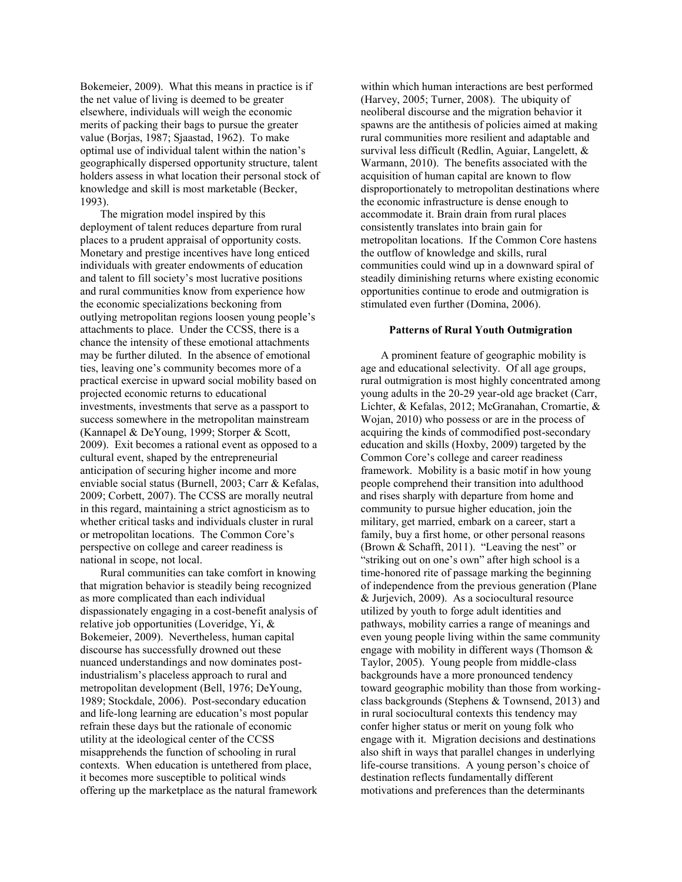Bokemeier, 2009). What this means in practice is if the net value of living is deemed to be greater elsewhere, individuals will weigh the economic merits of packing their bags to pursue the greater value (Borjas, 1987; Sjaastad, 1962). To make optimal use of individual talent within the nation's geographically dispersed opportunity structure, talent holders assess in what location their personal stock of knowledge and skill is most marketable (Becker, 1993).

The migration model inspired by this deployment of talent reduces departure from rural places to a prudent appraisal of opportunity costs. Monetary and prestige incentives have long enticed individuals with greater endowments of education and talent to fill society's most lucrative positions and rural communities know from experience how the economic specializations beckoning from outlying metropolitan regions loosen young people's attachments to place. Under the CCSS, there is a chance the intensity of these emotional attachments may be further diluted. In the absence of emotional ties, leaving one's community becomes more of a practical exercise in upward social mobility based on projected economic returns to educational investments, investments that serve as a passport to success somewhere in the metropolitan mainstream (Kannapel & DeYoung, 1999; Storper & Scott, 2009). Exit becomes a rational event as opposed to a cultural event, shaped by the entrepreneurial anticipation of securing higher income and more enviable social status (Burnell, 2003; Carr & Kefalas, 2009; Corbett, 2007). The CCSS are morally neutral in this regard, maintaining a strict agnosticism as to whether critical tasks and individuals cluster in rural or metropolitan locations. The Common Core's perspective on college and career readiness is national in scope, not local.

Rural communities can take comfort in knowing that migration behavior is steadily being recognized as more complicated than each individual dispassionately engaging in a cost-benefit analysis of relative job opportunities (Loveridge, Yi, & Bokemeier, 2009). Nevertheless, human capital discourse has successfully drowned out these nuanced understandings and now dominates postindustrialism's placeless approach to rural and metropolitan development (Bell, 1976; DeYoung, 1989; Stockdale, 2006). Post-secondary education and life-long learning are education's most popular refrain these days but the rationale of economic utility at the ideological center of the CCSS misapprehends the function of schooling in rural contexts. When education is untethered from place, it becomes more susceptible to political winds offering up the marketplace as the natural framework

within which human interactions are best performed (Harvey, 2005; Turner, 2008). The ubiquity of neoliberal discourse and the migration behavior it spawns are the antithesis of policies aimed at making rural communities more resilient and adaptable and survival less difficult (Redlin, Aguiar, Langelett, & Warmann, 2010). The benefits associated with the acquisition of human capital are known to flow disproportionately to metropolitan destinations where the economic infrastructure is dense enough to accommodate it. Brain drain from rural places consistently translates into brain gain for metropolitan locations. If the Common Core hastens the outflow of knowledge and skills, rural communities could wind up in a downward spiral of steadily diminishing returns where existing economic opportunities continue to erode and outmigration is stimulated even further (Domina, 2006).

#### **Patterns of Rural Youth Outmigration**

A prominent feature of geographic mobility is age and educational selectivity. Of all age groups, rural outmigration is most highly concentrated among young adults in the 20-29 year-old age bracket (Carr, Lichter, & Kefalas, 2012; McGranahan, Cromartie, & Wojan, 2010) who possess or are in the process of acquiring the kinds of commodified post-secondary education and skills (Hoxby, 2009) targeted by the Common Core's college and career readiness framework. Mobility is a basic motif in how young people comprehend their transition into adulthood and rises sharply with departure from home and community to pursue higher education, join the military, get married, embark on a career, start a family, buy a first home, or other personal reasons (Brown & Schafft, 2011). "Leaving the nest" or "striking out on one's own" after high school is a time-honored rite of passage marking the beginning of independence from the previous generation (Plane & Jurjevich, 2009). As a sociocultural resource utilized by youth to forge adult identities and pathways, mobility carries a range of meanings and even young people living within the same community engage with mobility in different ways (Thomson  $\&$ Taylor, 2005). Young people from middle-class backgrounds have a more pronounced tendency toward geographic mobility than those from workingclass backgrounds (Stephens & Townsend, 2013) and in rural sociocultural contexts this tendency may confer higher status or merit on young folk who engage with it. Migration decisions and destinations also shift in ways that parallel changes in underlying life-course transitions. A young person's choice of destination reflects fundamentally different motivations and preferences than the determinants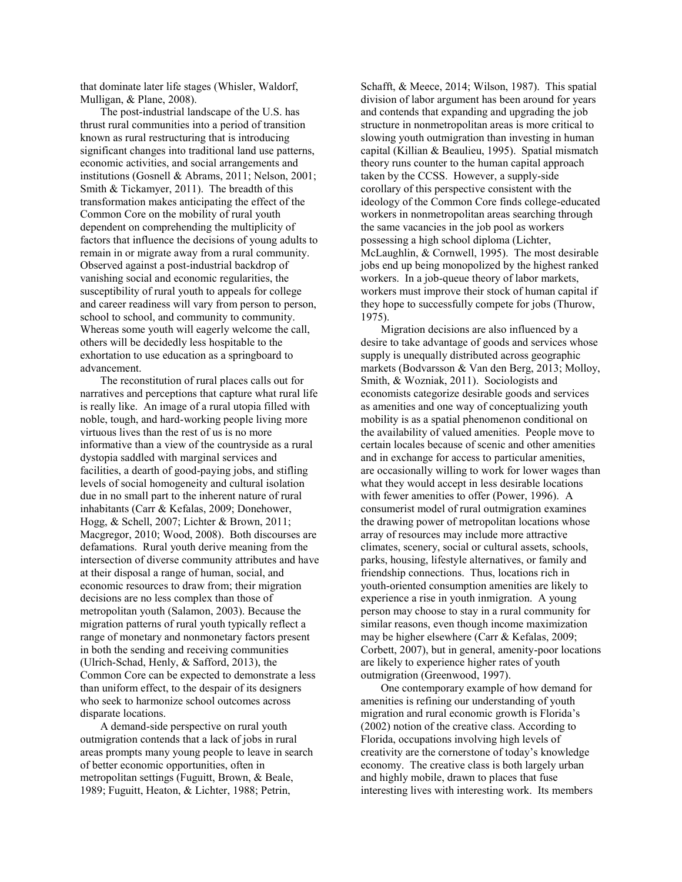that dominate later life stages (Whisler, Waldorf, Mulligan, & Plane, 2008).

The post-industrial landscape of the U.S. has thrust rural communities into a period of transition known as rural restructuring that is introducing significant changes into traditional land use patterns, economic activities, and social arrangements and institutions (Gosnell & Abrams, 2011; Nelson, 2001; Smith & Tickamyer, 2011). The breadth of this transformation makes anticipating the effect of the Common Core on the mobility of rural youth dependent on comprehending the multiplicity of factors that influence the decisions of young adults to remain in or migrate away from a rural community. Observed against a post-industrial backdrop of vanishing social and economic regularities, the susceptibility of rural youth to appeals for college and career readiness will vary from person to person, school to school, and community to community. Whereas some youth will eagerly welcome the call, others will be decidedly less hospitable to the exhortation to use education as a springboard to advancement.

The reconstitution of rural places calls out for narratives and perceptions that capture what rural life is really like. An image of a rural utopia filled with noble, tough, and hard-working people living more virtuous lives than the rest of us is no more informative than a view of the countryside as a rural dystopia saddled with marginal services and facilities, a dearth of good-paying jobs, and stifling levels of social homogeneity and cultural isolation due in no small part to the inherent nature of rural inhabitants (Carr & Kefalas, 2009; Donehower, Hogg, & Schell, 2007; Lichter & Brown, 2011; Macgregor, 2010; Wood, 2008). Both discourses are defamations. Rural youth derive meaning from the intersection of diverse community attributes and have at their disposal a range of human, social, and economic resources to draw from; their migration decisions are no less complex than those of metropolitan youth (Salamon, 2003). Because the migration patterns of rural youth typically reflect a range of monetary and nonmonetary factors present in both the sending and receiving communities (Ulrich-Schad, Henly, & Safford, 2013), the Common Core can be expected to demonstrate a less than uniform effect, to the despair of its designers who seek to harmonize school outcomes across disparate locations.

A demand-side perspective on rural youth outmigration contends that a lack of jobs in rural areas prompts many young people to leave in search of better economic opportunities, often in metropolitan settings (Fuguitt, Brown, & Beale, 1989; Fuguitt, Heaton, & Lichter, 1988; Petrin,

Schafft, & Meece, 2014; Wilson, 1987). This spatial division of labor argument has been around for years and contends that expanding and upgrading the job structure in nonmetropolitan areas is more critical to slowing youth outmigration than investing in human capital (Killian & Beaulieu, 1995). Spatial mismatch theory runs counter to the human capital approach taken by the CCSS. However, a supply-side corollary of this perspective consistent with the ideology of the Common Core finds college-educated workers in nonmetropolitan areas searching through the same vacancies in the job pool as workers possessing a high school diploma (Lichter, McLaughlin, & Cornwell, 1995). The most desirable jobs end up being monopolized by the highest ranked workers. In a job-queue theory of labor markets, workers must improve their stock of human capital if they hope to successfully compete for jobs (Thurow, 1975).

Migration decisions are also influenced by a desire to take advantage of goods and services whose supply is unequally distributed across geographic markets (Bodvarsson & Van den Berg, 2013; Molloy, Smith, & Wozniak, 2011). Sociologists and economists categorize desirable goods and services as amenities and one way of conceptualizing youth mobility is as a spatial phenomenon conditional on the availability of valued amenities. People move to certain locales because of scenic and other amenities and in exchange for access to particular amenities, are occasionally willing to work for lower wages than what they would accept in less desirable locations with fewer amenities to offer (Power, 1996). A consumerist model of rural outmigration examines the drawing power of metropolitan locations whose array of resources may include more attractive climates, scenery, social or cultural assets, schools, parks, housing, lifestyle alternatives, or family and friendship connections. Thus, locations rich in youth-oriented consumption amenities are likely to experience a rise in youth inmigration. A young person may choose to stay in a rural community for similar reasons, even though income maximization may be higher elsewhere (Carr & Kefalas, 2009; Corbett, 2007), but in general, amenity-poor locations are likely to experience higher rates of youth outmigration (Greenwood, 1997).

One contemporary example of how demand for amenities is refining our understanding of youth migration and rural economic growth is Florida's (2002) notion of the creative class. According to Florida, occupations involving high levels of creativity are the cornerstone of today's knowledge economy. The creative class is both largely urban and highly mobile, drawn to places that fuse interesting lives with interesting work. Its members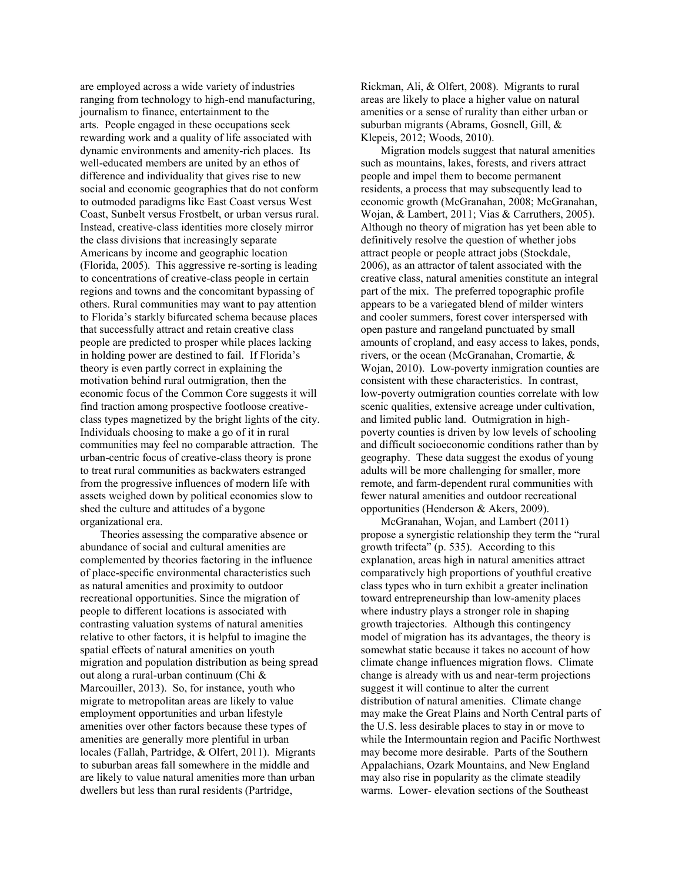are employed across a wide variety of industries ranging from technology to high-end manufacturing, journalism to finance, entertainment to the arts. People engaged in these occupations seek rewarding work and a quality of life associated with dynamic environments and amenity-rich places. Its well-educated members are united by an ethos of difference and individuality that gives rise to new social and economic geographies that do not conform to outmoded paradigms like East Coast versus West Coast, Sunbelt versus Frostbelt, or urban versus rural. Instead, creative-class identities more closely mirror the class divisions that increasingly separate Americans by income and geographic location (Florida, 2005). This aggressive re-sorting is leading to concentrations of creative-class people in certain regions and towns and the concomitant bypassing of others. Rural communities may want to pay attention to Florida's starkly bifurcated schema because places that successfully attract and retain creative class people are predicted to prosper while places lacking in holding power are destined to fail. If Florida's theory is even partly correct in explaining the motivation behind rural outmigration, then the economic focus of the Common Core suggests it will find traction among prospective footloose creativeclass types magnetized by the bright lights of the city. Individuals choosing to make a go of it in rural communities may feel no comparable attraction. The urban-centric focus of creative-class theory is prone to treat rural communities as backwaters estranged from the progressive influences of modern life with assets weighed down by political economies slow to shed the culture and attitudes of a bygone organizational era.

Theories assessing the comparative absence or abundance of social and cultural amenities are complemented by theories factoring in the influence of place-specific environmental characteristics such as natural amenities and proximity to outdoor recreational opportunities. Since the migration of people to different locations is associated with contrasting valuation systems of natural amenities relative to other factors, it is helpful to imagine the spatial effects of natural amenities on youth migration and population distribution as being spread out along a rural-urban continuum (Chi & Marcouiller, 2013). So, for instance, youth who migrate to metropolitan areas are likely to value employment opportunities and urban lifestyle amenities over other factors because these types of amenities are generally more plentiful in urban locales (Fallah, Partridge, & Olfert, 2011). Migrants to suburban areas fall somewhere in the middle and are likely to value natural amenities more than urban dwellers but less than rural residents (Partridge,

Rickman, Ali, & Olfert, 2008). Migrants to rural areas are likely to place a higher value on natural amenities or a sense of rurality than either urban or suburban migrants (Abrams, Gosnell, Gill, & Klepeis, 2012; Woods, 2010).

Migration models suggest that natural amenities such as mountains, lakes, forests, and rivers attract people and impel them to become permanent residents, a process that may subsequently lead to economic growth (McGranahan, 2008; McGranahan, Wojan, & Lambert, 2011; Vias & Carruthers, 2005). Although no theory of migration has yet been able to definitively resolve the question of whether jobs attract people or people attract jobs (Stockdale, 2006), as an attractor of talent associated with the creative class, natural amenities constitute an integral part of the mix. The preferred topographic profile appears to be a variegated blend of milder winters and cooler summers, forest cover interspersed with open pasture and rangeland punctuated by small amounts of cropland, and easy access to lakes, ponds, rivers, or the ocean (McGranahan, Cromartie, & Wojan, 2010). Low-poverty inmigration counties are consistent with these characteristics. In contrast, low-poverty outmigration counties correlate with low scenic qualities, extensive acreage under cultivation, and limited public land. Outmigration in highpoverty counties is driven by low levels of schooling and difficult socioeconomic conditions rather than by geography. These data suggest the exodus of young adults will be more challenging for smaller, more remote, and farm-dependent rural communities with fewer natural amenities and outdoor recreational opportunities (Henderson & Akers, 2009).

McGranahan, Wojan, and Lambert (2011) propose a synergistic relationship they term the "rural growth trifecta" (p. 535). According to this explanation, areas high in natural amenities attract comparatively high proportions of youthful creative class types who in turn exhibit a greater inclination toward entrepreneurship than low-amenity places where industry plays a stronger role in shaping growth trajectories. Although this contingency model of migration has its advantages, the theory is somewhat static because it takes no account of how climate change influences migration flows. Climate change is already with us and near-term projections suggest it will continue to alter the current distribution of natural amenities. Climate change may make the Great Plains and North Central parts of the U.S. less desirable places to stay in or move to while the Intermountain region and Pacific Northwest may become more desirable. Parts of the Southern Appalachians, Ozark Mountains, and New England may also rise in popularity as the climate steadily warms. Lower- elevation sections of the Southeast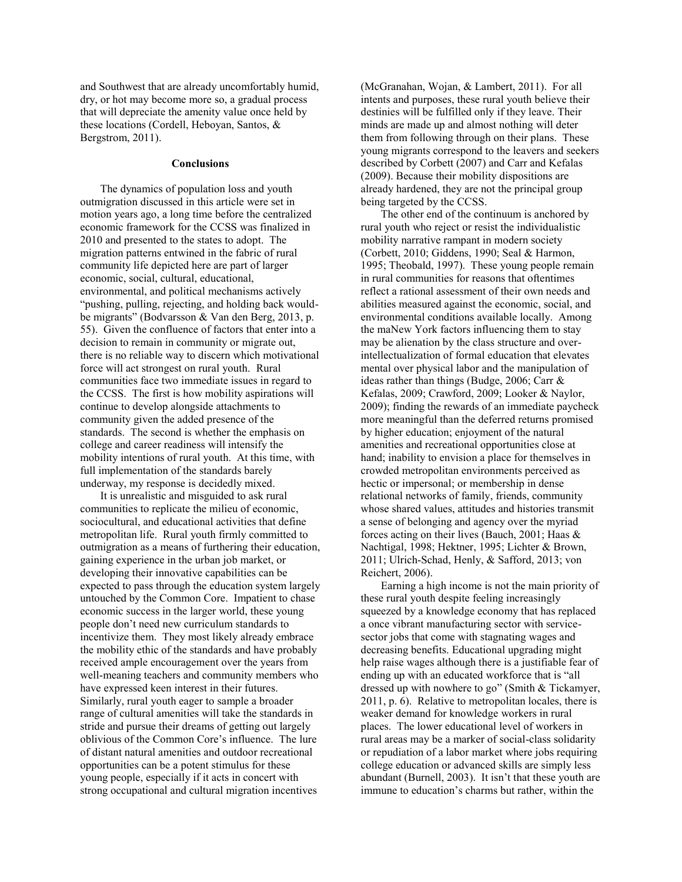and Southwest that are already uncomfortably humid, dry, or hot may become more so, a gradual process that will depreciate the amenity value once held by these locations (Cordell, Heboyan, Santos, & Bergstrom, 2011).

#### **Conclusions**

The dynamics of population loss and youth outmigration discussed in this article were set in motion years ago, a long time before the centralized economic framework for the CCSS was finalized in 2010 and presented to the states to adopt. The migration patterns entwined in the fabric of rural community life depicted here are part of larger economic, social, cultural, educational, environmental, and political mechanisms actively "pushing, pulling, rejecting, and holding back wouldbe migrants" (Bodvarsson & Van den Berg, 2013, p. 55). Given the confluence of factors that enter into a decision to remain in community or migrate out, there is no reliable way to discern which motivational force will act strongest on rural youth. Rural communities face two immediate issues in regard to the CCSS. The first is how mobility aspirations will continue to develop alongside attachments to community given the added presence of the standards. The second is whether the emphasis on college and career readiness will intensify the mobility intentions of rural youth. At this time, with full implementation of the standards barely underway, my response is decidedly mixed.

It is unrealistic and misguided to ask rural communities to replicate the milieu of economic, sociocultural, and educational activities that define metropolitan life. Rural youth firmly committed to outmigration as a means of furthering their education, gaining experience in the urban job market, or developing their innovative capabilities can be expected to pass through the education system largely untouched by the Common Core. Impatient to chase economic success in the larger world, these young people don't need new curriculum standards to incentivize them. They most likely already embrace the mobility ethic of the standards and have probably received ample encouragement over the years from well-meaning teachers and community members who have expressed keen interest in their futures. Similarly, rural youth eager to sample a broader range of cultural amenities will take the standards in stride and pursue their dreams of getting out largely oblivious of the Common Core's influence. The lure of distant natural amenities and outdoor recreational opportunities can be a potent stimulus for these young people, especially if it acts in concert with strong occupational and cultural migration incentives

(McGranahan, Wojan, & Lambert, 2011). For all intents and purposes, these rural youth believe their destinies will be fulfilled only if they leave. Their minds are made up and almost nothing will deter them from following through on their plans. These young migrants correspond to the leavers and seekers described by Corbett (2007) and Carr and Kefalas (2009). Because their mobility dispositions are already hardened, they are not the principal group being targeted by the CCSS.

The other end of the continuum is anchored by rural youth who reject or resist the individualistic mobility narrative rampant in modern society (Corbett, 2010; Giddens, 1990; Seal & Harmon, 1995; Theobald, 1997). These young people remain in rural communities for reasons that oftentimes reflect a rational assessment of their own needs and abilities measured against the economic, social, and environmental conditions available locally. Among the maNew York factors influencing them to stay may be alienation by the class structure and overintellectualization of formal education that elevates mental over physical labor and the manipulation of ideas rather than things (Budge, 2006; Carr & Kefalas, 2009; Crawford, 2009; Looker & Naylor, 2009); finding the rewards of an immediate paycheck more meaningful than the deferred returns promised by higher education; enjoyment of the natural amenities and recreational opportunities close at hand; inability to envision a place for themselves in crowded metropolitan environments perceived as hectic or impersonal; or membership in dense relational networks of family, friends, community whose shared values, attitudes and histories transmit a sense of belonging and agency over the myriad forces acting on their lives (Bauch, 2001; Haas & Nachtigal, 1998; Hektner, 1995; Lichter & Brown, 2011; Ulrich-Schad, Henly, & Safford, 2013; von Reichert, 2006).

Earning a high income is not the main priority of these rural youth despite feeling increasingly squeezed by a knowledge economy that has replaced a once vibrant manufacturing sector with servicesector jobs that come with stagnating wages and decreasing benefits. Educational upgrading might help raise wages although there is a justifiable fear of ending up with an educated workforce that is "all dressed up with nowhere to go" (Smith & Tickamyer, 2011, p. 6). Relative to metropolitan locales, there is weaker demand for knowledge workers in rural places. The lower educational level of workers in rural areas may be a marker of social-class solidarity or repudiation of a labor market where jobs requiring college education or advanced skills are simply less abundant (Burnell, 2003). It isn't that these youth are immune to education's charms but rather, within the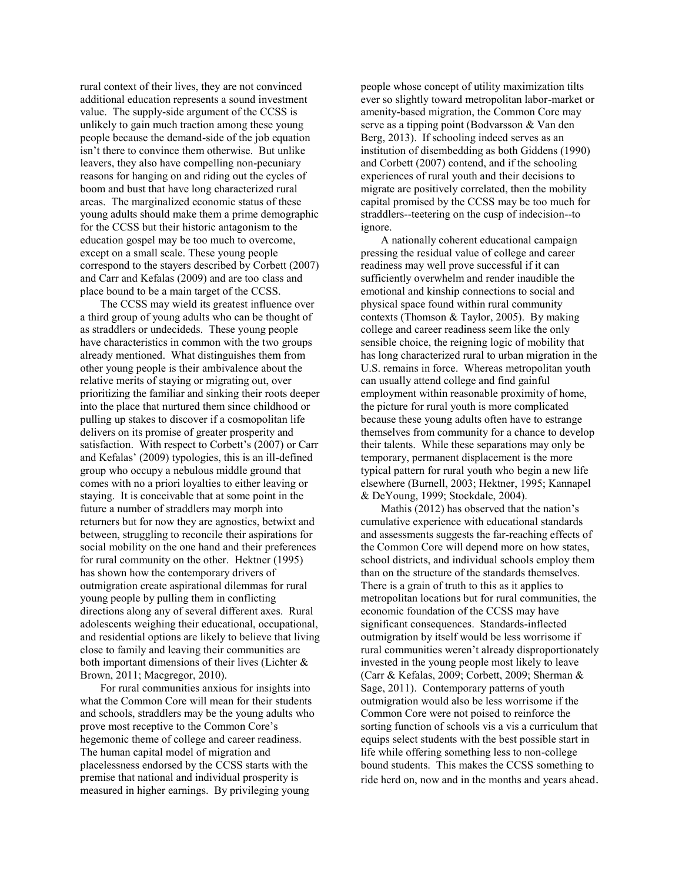rural context of their lives, they are not convinced additional education represents a sound investment value. The supply-side argument of the CCSS is unlikely to gain much traction among these young people because the demand-side of the job equation isn't there to convince them otherwise. But unlike leavers, they also have compelling non-pecuniary reasons for hanging on and riding out the cycles of boom and bust that have long characterized rural areas. The marginalized economic status of these young adults should make them a prime demographic for the CCSS but their historic antagonism to the education gospel may be too much to overcome, except on a small scale. These young people correspond to the stayers described by Corbett (2007) and Carr and Kefalas (2009) and are too class and place bound to be a main target of the CCSS.

The CCSS may wield its greatest influence over a third group of young adults who can be thought of as straddlers or undecideds. These young people have characteristics in common with the two groups already mentioned. What distinguishes them from other young people is their ambivalence about the relative merits of staying or migrating out, over prioritizing the familiar and sinking their roots deeper into the place that nurtured them since childhood or pulling up stakes to discover if a cosmopolitan life delivers on its promise of greater prosperity and satisfaction. With respect to Corbett's (2007) or Carr and Kefalas' (2009) typologies, this is an ill-defined group who occupy a nebulous middle ground that comes with no a priori loyalties to either leaving or staying. It is conceivable that at some point in the future a number of straddlers may morph into returners but for now they are agnostics, betwixt and between, struggling to reconcile their aspirations for social mobility on the one hand and their preferences for rural community on the other. Hektner (1995) has shown how the contemporary drivers of outmigration create aspirational dilemmas for rural young people by pulling them in conflicting directions along any of several different axes. Rural adolescents weighing their educational, occupational, and residential options are likely to believe that living close to family and leaving their communities are both important dimensions of their lives (Lichter & Brown, 2011; Macgregor, 2010).

For rural communities anxious for insights into what the Common Core will mean for their students and schools, straddlers may be the young adults who prove most receptive to the Common Core's hegemonic theme of college and career readiness. The human capital model of migration and placelessness endorsed by the CCSS starts with the premise that national and individual prosperity is measured in higher earnings. By privileging young

people whose concept of utility maximization tilts ever so slightly toward metropolitan labor-market or amenity-based migration, the Common Core may serve as a tipping point (Bodvarsson & Van den Berg, 2013). If schooling indeed serves as an institution of disembedding as both Giddens (1990) and Corbett (2007) contend, and if the schooling experiences of rural youth and their decisions to migrate are positively correlated, then the mobility capital promised by the CCSS may be too much for straddlers--teetering on the cusp of indecision--to ignore.

A nationally coherent educational campaign pressing the residual value of college and career readiness may well prove successful if it can sufficiently overwhelm and render inaudible the emotional and kinship connections to social and physical space found within rural community contexts (Thomson & Taylor, 2005). By making college and career readiness seem like the only sensible choice, the reigning logic of mobility that has long characterized rural to urban migration in the U.S. remains in force. Whereas metropolitan youth can usually attend college and find gainful employment within reasonable proximity of home, the picture for rural youth is more complicated because these young adults often have to estrange themselves from community for a chance to develop their talents. While these separations may only be temporary, permanent displacement is the more typical pattern for rural youth who begin a new life elsewhere (Burnell, 2003; Hektner, 1995; Kannapel & DeYoung, 1999; Stockdale, 2004).

Mathis (2012) has observed that the nation's cumulative experience with educational standards and assessments suggests the far-reaching effects of the Common Core will depend more on how states, school districts, and individual schools employ them than on the structure of the standards themselves. There is a grain of truth to this as it applies to metropolitan locations but for rural communities, the economic foundation of the CCSS may have significant consequences. Standards-inflected outmigration by itself would be less worrisome if rural communities weren't already disproportionately invested in the young people most likely to leave (Carr & Kefalas, 2009; Corbett, 2009; Sherman & Sage, 2011). Contemporary patterns of youth outmigration would also be less worrisome if the Common Core were not poised to reinforce the sorting function of schools vis a vis a curriculum that equips select students with the best possible start in life while offering something less to non-college bound students. This makes the CCSS something to ride herd on, now and in the months and years ahead.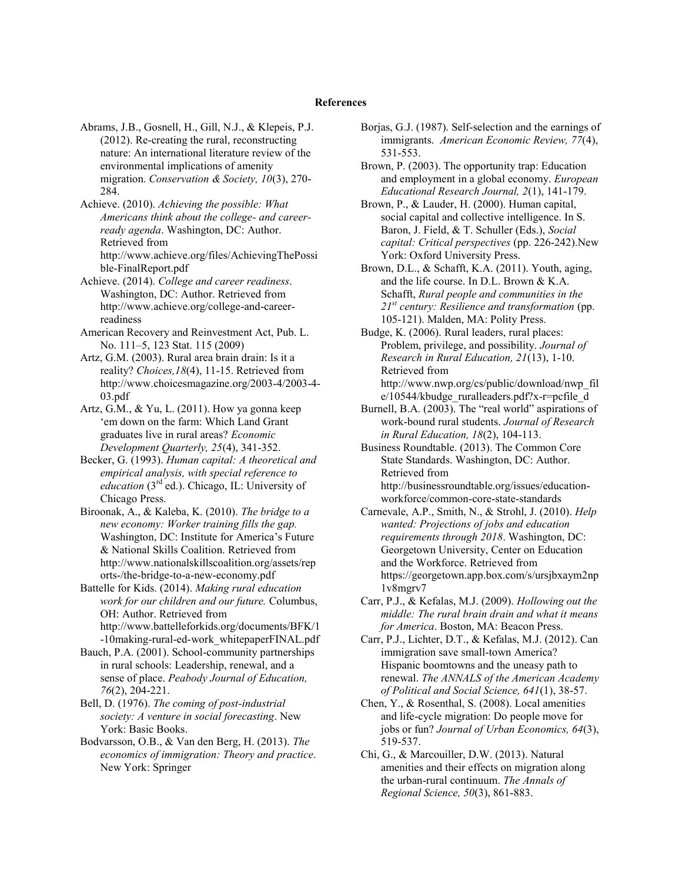Abrams, J.B., Gosnell, H., Gill, N.J., & Klepeis, P.J. (2012). Re-creating the rural, reconstructing nature: An international literature review of the environmental implications of amenity migration. *Conservation & Society, 10*(3), 270- 284.

Achieve. (2010). *Achieving the possible: What Americans think about the college- and careerready agenda*. Washington, DC: Author. Retrieved from http://www.achieve.org/files/AchievingThePossi ble-FinalReport.pdf

Achieve. (2014). *College and career readiness*. Washington, DC: Author. Retrieved from http://www.achieve.org/college-and-careerreadiness

American Recovery and Reinvestment Act, Pub. L. No. 111–5, 123 Stat. 115 (2009)

Artz, G.M. (2003). Rural area brain drain: Is it a reality? *Choices,18*(4), 11-15. Retrieved from http://www.choicesmagazine.org/2003-4/2003-4- 03.pdf

Artz, G.M., & Yu, L. (2011). How ya gonna keep 'em down on the farm: Which Land Grant graduates live in rural areas? *Economic Development Quarterly, 25*(4), 341-352.

Becker, G. (1993). *Human capital: A theoretical and empirical analysis, with special reference to education* (3rd ed.). Chicago, IL: University of Chicago Press.

Biroonak, A., & Kaleba, K. (2010). *The bridge to a new economy: Worker training fills the gap.* Washington, DC: Institute for America's Future & National Skills Coalition. Retrieved from http://www.nationalskillscoalition.org/assets/rep orts-/the-bridge-to-a-new-economy.pdf

Battelle for Kids. (2014). *Making rural education work for our children and our future.* Columbus, OH: Author. Retrieved from http://www.battelleforkids.org/documents/BFK/1

-10making-rural-ed-work\_whitepaperFINAL.pdf Bauch, P.A. (2001). School-community partnerships in rural schools: Leadership, renewal, and a sense of place. *Peabody Journal of Education, 76*(2), 204-221.

Bell, D. (1976). *The coming of post-industrial society: A venture in social forecasting*. New York: Basic Books.

Bodvarsson, O.B., & Van den Berg, H. (2013). *The economics of immigration: Theory and practice*. New York: Springer

Borjas, G.J. (1987). Self-selection and the earnings of immigrants. *American Economic Review, 77*(4), 531-553.

Brown, P. (2003). The opportunity trap: Education and employment in a global economy. *European Educational Research Journal, 2*(1), 141-179.

Brown, P., & Lauder, H. (2000). Human capital, social capital and collective intelligence. In S. Baron, J. Field, & T. Schuller (Eds.), *Social capital: Critical perspectives* (pp. 226-242).New York: Oxford University Press.

Brown, D.L., & Schafft, K.A. (2011). Youth, aging, and the life course. In D.L. Brown & K.A. Schafft, *Rural people and communities in the 21st century: Resilience and transformation* (pp. 105-121). Malden, MA: Polity Press.

Budge, K. (2006). Rural leaders, rural places: Problem, privilege, and possibility. *Journal of Research in Rural Education, 21*(13), 1-10. Retrieved from http://www.nwp.org/cs/public/download/nwp\_fil e/10544/kbudge\_ruralleaders.pdf?x-r=pcfile\_d

Burnell, B.A. (2003). The "real world" aspirations of work-bound rural students. *Journal of Research in Rural Education, 18*(2), 104-113.

Business Roundtable. (2013). The Common Core State Standards. Washington, DC: Author. Retrieved from http://businessroundtable.org/issues/educationworkforce/common-core-state-standards

Carnevale, A.P., Smith, N., & Strohl, J. (2010). *Help wanted: Projections of jobs and education requirements through 2018*. Washington, DC: Georgetown University, Center on Education and the Workforce. Retrieved from https://georgetown.app.box.com/s/ursjbxaym2np 1v8mgrv7

Carr, P.J., & Kefalas, M.J. (2009). *Hollowing out the middle: The rural brain drain and what it means for America*. Boston, MA: Beacon Press.

Carr, P.J., Lichter, D.T., & Kefalas, M.J. (2012). Can immigration save small-town America? Hispanic boomtowns and the uneasy path to renewal. *The ANNALS of the American Academy of Political and Social Science, 641*(1), 38-57.

Chen, Y., & Rosenthal, S. (2008). Local amenities and life-cycle migration: Do people move for jobs or fun? *Journal of Urban Economics, 64*(3), 519-537.

Chi, G., & Marcouiller, D.W. (2013). Natural amenities and their effects on migration along the urban-rural continuum. *The Annals of Regional Science, 50*(3), 861-883.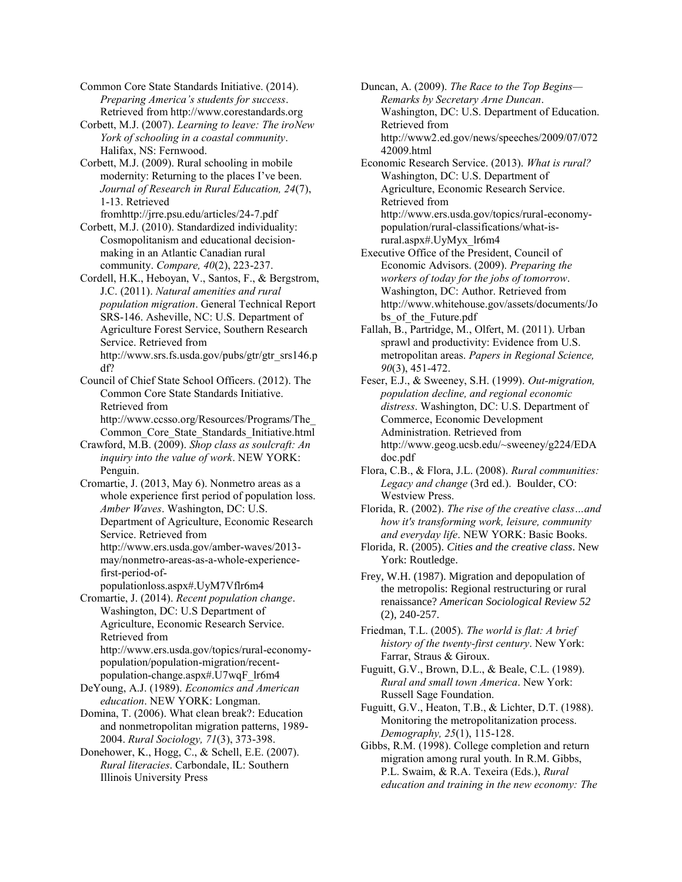Common Core State Standards Initiative. (2014). *Preparing America's students for success*. Retrieved from http://www.corestandards.org

Corbett, M.J. (2007). *Learning to leave: The iroNew York of schooling in a coastal community*. Halifax, NS: Fernwood.

Corbett, M.J. (2009). Rural schooling in mobile modernity: Returning to the places I've been. *Journal of Research in Rural Education, 24*(7), 1-13. Retrieved fromhttp://jrre.psu.edu/articles/24-7.pdf

Corbett, M.J. (2010). Standardized individuality: Cosmopolitanism and educational decisionmaking in an Atlantic Canadian rural community. *Compare, 40*(2), 223-237.

Cordell, H.K., Heboyan, V., Santos, F., & Bergstrom, J.C. (2011). *Natural amenities and rural population migration*. General Technical Report SRS-146. Asheville, NC: U.S. Department of Agriculture Forest Service, Southern Research Service. Retrieved from http://www.srs.fs.usda.gov/pubs/gtr/gtr\_srs146.p df?

Council of Chief State School Officers. (2012). The Common Core State Standards Initiative. Retrieved from http://www.ccsso.org/Resources/Programs/The\_

Common\_Core\_State\_Standards\_Initiative.html Crawford, M.B. (2009). *Shop class as soulcraft: An inquiry into the value of work*. NEW YORK:

Penguin. Cromartie, J. (2013, May 6). Nonmetro areas as a whole experience first period of population loss. *Amber Waves*. Washington, DC: U.S. Department of Agriculture, Economic Research Service. Retrieved from http://www.ers.usda.gov/amber-waves/2013 may/nonmetro-areas-as-a-whole-experiencefirst-period-of-

populationloss.aspx#.UyM7Vflr6m4

Cromartie, J. (2014). *Recent population change*. Washington, DC: U.S Department of Agriculture, Economic Research Service. Retrieved from http://www.ers.usda.gov/topics/rural-economy-

population/population-migration/recentpopulation-change.aspx#.U7wqF\_lr6m4

DeYoung, A.J. (1989). *Economics and American education*. NEW YORK: Longman.

Domina, T. (2006). What clean break?: Education and nonmetropolitan migration patterns, 1989- 2004. *Rural Sociology, 71*(3), 373-398.

Donehower, K., Hogg, C., & Schell, E.E. (2007). *Rural literacies*. Carbondale, IL: Southern Illinois University Press

Duncan, A. (2009). *The Race to the Top Begins— Remarks by Secretary Arne Duncan*. Washington, DC: U.S. Department of Education. Retrieved from http://www2.ed.gov/news/speeches/2009/07/072 42009.html

Economic Research Service. (2013). *What is rural?* Washington, DC: U.S. Department of Agriculture, Economic Research Service. Retrieved from http://www.ers.usda.gov/topics/rural-economypopulation/rural-classifications/what-isrural.aspx#.UyMyx\_lr6m4

Executive Office of the President, Council of Economic Advisors. (2009). *Preparing the workers of today for the jobs of tomorrow*. Washington, DC: Author. Retrieved from http://www.whitehouse.gov/assets/documents/Jo bs of the Future.pdf

Fallah, B., Partridge, M., Olfert, M. (2011). Urban sprawl and productivity: Evidence from U.S. metropolitan areas. *Papers in Regional Science, 90*(3), 451-472.

Feser, E.J., & Sweeney, S.H. (1999). *Out-migration, population decline, and regional economic distress*. Washington, DC: U.S. Department of Commerce, Economic Development Administration. Retrieved from http://www.geog.ucsb.edu/~sweeney/g224/EDA doc.pdf

Flora, C.B., & Flora, J.L. (2008). *Rural communities: Legacy and change* (3rd ed.). Boulder, CO: Westview Press.

Florida, R. (2002). *The rise of the creative class…and how it's transforming work, leisure, community and everyday life*. NEW YORK: Basic Books.

Florida, R. (2005). *Cities and the creative class*. New York: Routledge.

Frey, W.H. (1987). Migration and depopulation of the metropolis: Regional restructuring or rural renaissance? *American Sociological Review 52* (2), 240-257.

Friedman, T.L. (2005). *The world is flat: A brief history of the twenty-first century*. New York: Farrar, Straus & Giroux.

Fuguitt, G.V., Brown, D.L., & Beale, C.L. (1989). *Rural and small town America*. New York: Russell Sage Foundation.

Fuguitt, G.V., Heaton, T.B., & Lichter, D.T. (1988). Monitoring the metropolitanization process. *Demography, 25*(1), 115-128.

Gibbs, R.M. (1998). College completion and return migration among rural youth. In R.M. Gibbs, P.L. Swaim, & R.A. Texeira (Eds.), *Rural education and training in the new economy: The*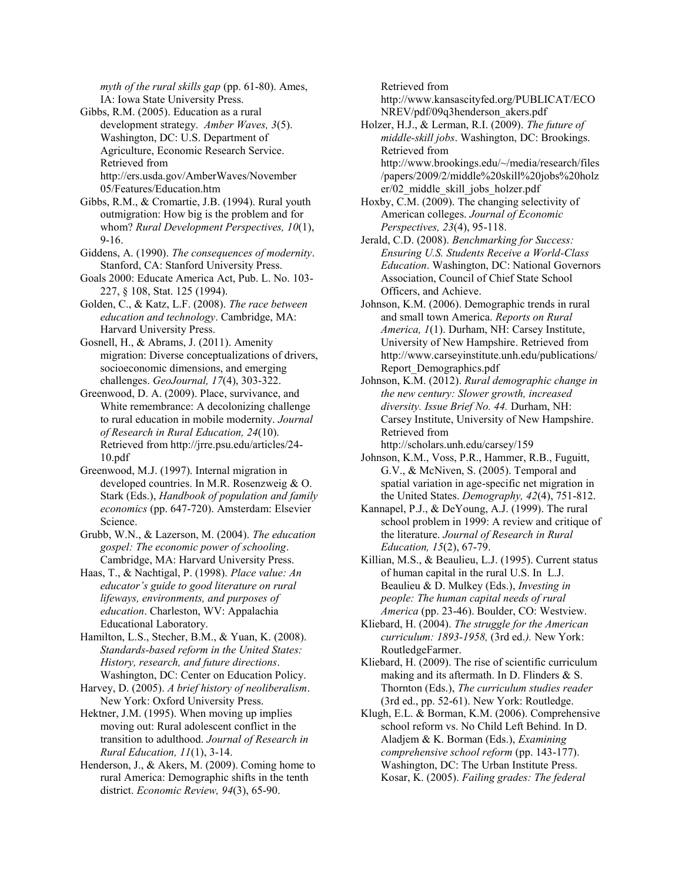*myth of the rural skills gap* (pp. 61-80). Ames, IA: Iowa State University Press.

- Gibbs, R.M. (2005). Education as a rural development strategy. *Amber Waves, 3*(5). Washington, DC: U.S. Department of Agriculture, Economic Research Service. Retrieved from http://ers.usda.gov/AmberWaves/November 05/Features/Education.htm
- Gibbs, R.M., & Cromartie, J.B. (1994). Rural youth outmigration: How big is the problem and for whom? *Rural Development Perspectives, 10*(1), 9-16.
- Giddens, A. (1990). *The consequences of modernity*. Stanford, CA: Stanford University Press.
- Goals 2000: Educate America Act, Pub. L. No. 103- 227, § 108, Stat. 125 (1994).
- Golden, C., & Katz, L.F. (2008). *The race between education and technology*. Cambridge, MA: Harvard University Press.
- Gosnell, H., & Abrams, J. (2011). Amenity migration: Diverse conceptualizations of drivers, socioeconomic dimensions, and emerging challenges. *GeoJournal, 17*(4), 303-322.
- Greenwood, D. A. (2009). Place, survivance, and White remembrance: A decolonizing challenge to rural education in mobile modernity. *Journal of Research in Rural Education, 24*(10). Retrieved from http://jrre.psu.edu/articles/24- 10.pdf
- Greenwood, M.J. (1997). Internal migration in developed countries. In M.R. Rosenzweig & O. Stark (Eds.), *Handbook of population and family economics* (pp. 647-720). Amsterdam: Elsevier Science.
- Grubb, W.N., & Lazerson, M. (2004). *The education gospel: The economic power of schooling*. Cambridge, MA: Harvard University Press.
- Haas, T., & Nachtigal, P. (1998). *Place value: An educator's guide to good literature on rural lifeways, environments, and purposes of education*. Charleston, WV: Appalachia Educational Laboratory.
- Hamilton, L.S., Stecher, B.M., & Yuan, K. (2008). *Standards-based reform in the United States: History, research, and future directions*. Washington, DC: Center on Education Policy.
- Harvey, D. (2005). *A brief history of neoliberalism*. New York: Oxford University Press.
- Hektner, J.M. (1995). When moving up implies moving out: Rural adolescent conflict in the transition to adulthood. *Journal of Research in Rural Education, 11*(1), 3-14.
- Henderson, J., & Akers, M. (2009). Coming home to rural America: Demographic shifts in the tenth district. *Economic Review, 94*(3), 65-90.

Retrieved from

http://www.kansascityfed.org/PUBLICAT/ECO NREV/pdf/09q3henderson\_akers.pdf

Holzer, H.J., & Lerman, R.I. (2009). *The future of middle-skill jobs*. Washington, DC: Brookings. Retrieved from http://www.brookings.edu/~/media/research/files /papers/2009/2/middle%20skill%20jobs%20holz

er/02\_middle\_skill\_jobs\_holzer.pdf Hoxby, C.M. (2009). The changing selectivity of

- American colleges. *Journal of Economic Perspectives, 23*(4), 95-118.
- Jerald, C.D. (2008). *Benchmarking for Success: Ensuring U.S. Students Receive a World-Class Education*. Washington, DC: National Governors Association, Council of Chief State School Officers, and Achieve.
- Johnson, K.M. (2006). Demographic trends in rural and small town America. *Reports on Rural America, 1*(1). Durham, NH: Carsey Institute, University of New Hampshire. Retrieved from http://www.carseyinstitute.unh.edu/publications/ Report\_Demographics.pdf
- Johnson, K.M. (2012). *Rural demographic change in the new century: Slower growth, increased diversity. Issue Brief No. 44.* Durham, NH: Carsey Institute, University of New Hampshire. Retrieved from

http://scholars.unh.edu/carsey/159

- Johnson, K.M., Voss, P.R., Hammer, R.B., Fuguitt, G.V., & McNiven, S. (2005). Temporal and spatial variation in age-specific net migration in the United States. *Demography, 42*(4), 751-812.
- Kannapel, P.J., & DeYoung, A.J. (1999). The rural school problem in 1999: A review and critique of the literature. *Journal of Research in Rural Education, 15*(2), 67-79.
- Killian, M.S., & Beaulieu, L.J. (1995). Current status of human capital in the rural U.S. In L.J. Beaulieu & D. Mulkey (Eds.), *Investing in people: The human capital needs of rural America* (pp. 23-46). Boulder, CO: Westview.
- Kliebard, H. (2004). *The struggle for the American curriculum: 1893-1958,* (3rd ed.*).* New York: RoutledgeFarmer.
- Kliebard, H. (2009). The rise of scientific curriculum making and its aftermath. In D. Flinders & S. Thornton (Eds.), *The curriculum studies reader* (3rd ed., pp. 52-61). New York: Routledge.
- Klugh, E.L. & Borman, K.M. (2006). Comprehensive school reform vs. No Child Left Behind. In D. Aladjem & K. Borman (Eds.), *Examining comprehensive school reform* (pp. 143-177). Washington, DC: The Urban Institute Press. Kosar, K. (2005). *Failing grades: The federal*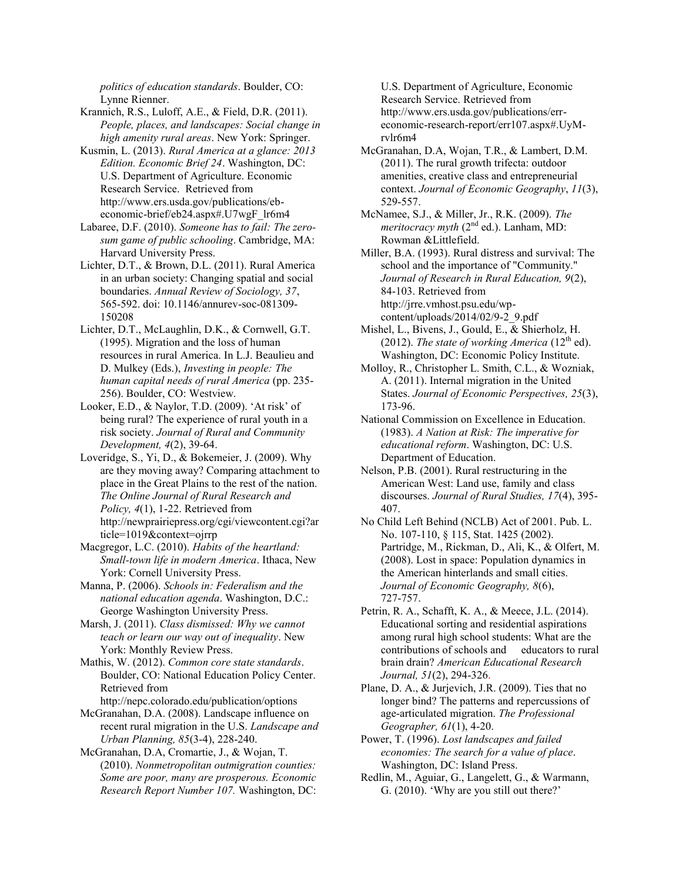*politics of education standards*. Boulder, CO: Lynne Rienner.

Krannich, R.S., Luloff, A.E., & Field, D.R. (2011). *People, places, and landscapes: Social change in high amenity rural areas*. New York: Springer.

Kusmin, L. (2013). *Rural America at a glance: 2013 Edition. Economic Brief 24*. Washington, DC: U.S. Department of Agriculture. Economic Research Service. Retrieved from http://www.ers.usda.gov/publications/ebeconomic-brief/eb24.aspx#.U7wgF\_lr6m4

Labaree, D.F. (2010). *Someone has to fail: The zerosum game of public schooling*. Cambridge, MA: Harvard University Press.

Lichter, D.T., & Brown, D.L. (2011). Rural America in an urban society: Changing spatial and social boundaries. *Annual Review of Sociology, 37*, 565-592. doi: 10.1146/annurev-soc-081309- 150208

Lichter, D.T., McLaughlin, D.K., & Cornwell, G.T. (1995). Migration and the loss of human resources in rural America. In L.J. Beaulieu and D. Mulkey (Eds.), *Investing in people: The human capital needs of rural America* (pp. 235- 256). Boulder, CO: Westview.

Looker, E.D., & Naylor, T.D. (2009). 'At risk' of being rural? The experience of rural youth in a risk society. *Journal of Rural and Community Development, 4*(2), 39-64.

Loveridge, S., Yi, D., & Bokemeier, J. (2009). Why are they moving away? Comparing attachment to place in the Great Plains to the rest of the nation. *The Online Journal of Rural Research and Policy, 4*(1), 1-22. Retrieved from http://newprairiepress.org/cgi/viewcontent.cgi?ar ticle=1019&context=ojrrp

Macgregor, L.C. (2010). *Habits of the heartland: Small-town life in modern America*. Ithaca, New York: Cornell University Press.

Manna, P. (2006). *Schools in: Federalism and the national education agenda*. Washington, D.C.: George Washington University Press.

Marsh, J. (2011). *Class dismissed: Why we cannot teach or learn our way out of inequality*. New York: Monthly Review Press.

Mathis, W. (2012). *Common core state standards*. Boulder, CO: National Education Policy Center. Retrieved from

http://nepc.colorado.edu/publication/options

McGranahan, D.A. (2008). Landscape influence on recent rural migration in the U.S. *Landscape and Urban Planning, 85*(3-4), 228-240.

McGranahan, D.A, Cromartie, J., & Wojan, T. (2010). *Nonmetropolitan outmigration counties: Some are poor, many are prosperous. Economic Research Report Number 107.* Washington, DC: U.S. Department of Agriculture, Economic Research Service. Retrieved from http://www.ers.usda.gov/publications/erreconomic-research-report/err107.aspx#.UyMrvlr6m4

McGranahan, D.A, Wojan, T.R., & Lambert, D.M. (2011). The rural growth trifecta: outdoor amenities, creative class and entrepreneurial context. *Journal of Economic Geography*, *11*(3), 529-557.

McNamee, S.J., & Miller, Jr., R.K. (2009). *The meritocracy myth* (2<sup>nd</sup> ed.). Lanham, MD: Rowman &Littlefield.

Miller, B.A. (1993). Rural distress and survival: The school and the importance of "Community." *Journal of Research in Rural Education, 9*(2), 84-103. Retrieved from http://jrre.vmhost.psu.edu/wpcontent/uploads/2014/02/9-2\_9.pdf

Mishel, L., Bivens, J., Gould, E., & Shierholz, H. (2012). *The state of working America* ( $12<sup>th</sup>$  ed). Washington, DC: Economic Policy Institute.

Molloy, R., Christopher L. Smith, C.L., & Wozniak, A. (2011). Internal migration in the United States. *Journal of Economic Perspectives, 25*(3), 173-96.

National Commission on Excellence in Education. (1983). *A Nation at Risk: The imperative for educational reform*. Washington, DC: U.S. Department of Education.

Nelson, P.B. (2001). Rural restructuring in the American West: Land use, family and class discourses. *Journal of Rural Studies, 17*(4), 395- 407.

No Child Left Behind (NCLB) Act of 2001. Pub. L. No. 107-110, § 115, Stat. 1425 (2002). Partridge, M., Rickman, D., Ali, K., & Olfert, M. (2008). Lost in space: Population dynamics in the American hinterlands and small cities. *Journal of Economic Geography, 8*(6), 727-757.

Petrin, R. A., Schafft, K. A., & Meece, J.L. (2014). Educational sorting and residential aspirations among rural high school students: What are the contributions of schools and educators to rural brain drain? *American Educational Research Journal, 51*(2), 294-326.

Plane, D. A., & Jurjevich, J.R. (2009). Ties that no longer bind? The patterns and repercussions of age-articulated migration. *The Professional Geographer, 61*(1), 4-20.

Power, T. (1996). *Lost landscapes and failed economies: The search for a value of place*. Washington, DC: Island Press.

Redlin, M., Aguiar, G., Langelett, G., & Warmann, G. (2010). 'Why are you still out there?'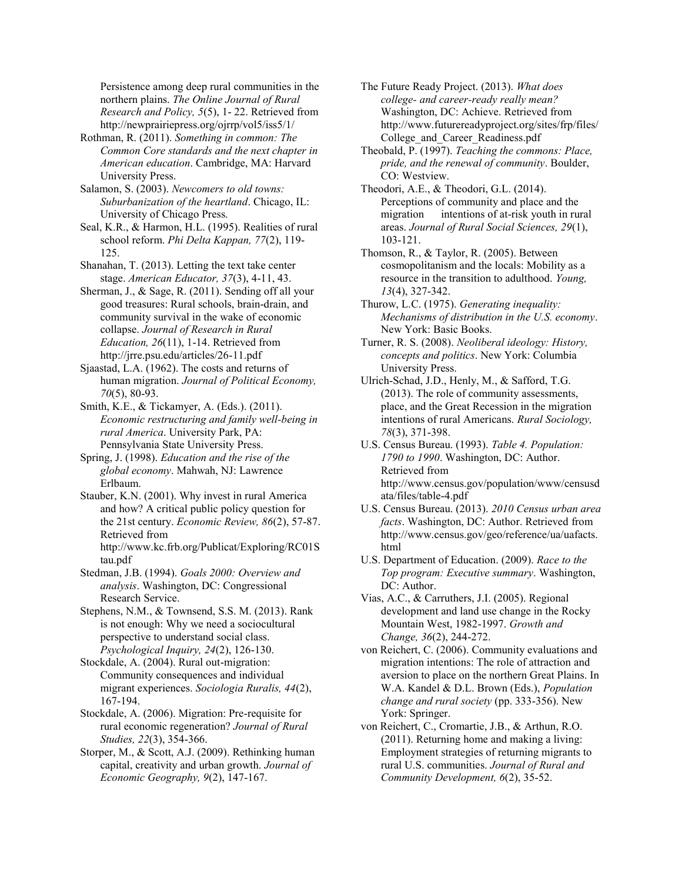Persistence among deep rural communities in the northern plains. *The Online Journal of Rural Research and Policy, 5*(5), 1- 22. Retrieved from http://newprairiepress.org/ojrrp/vol5/iss5/1/

Rothman, R. (2011). *Something in common: The Common Core standards and the next chapter in American education*. Cambridge, MA: Harvard University Press.

Salamon, S. (2003). *Newcomers to old towns: Suburbanization of the heartland*. Chicago, IL: University of Chicago Press.

Seal, K.R., & Harmon, H.L. (1995). Realities of rural school reform. *Phi Delta Kappan, 77*(2), 119- 125.

Shanahan, T. (2013). Letting the text take center stage. *American Educator, 37*(3), 4-11, 43.

Sherman, J., & Sage, R. (2011). Sending off all your good treasures: Rural schools, brain-drain, and community survival in the wake of economic collapse. *Journal of Research in Rural Education, 26*(11), 1-14. Retrieved from http://jrre.psu.edu/articles/26-11.pdf

Sjaastad, L.A. (1962). The costs and returns of human migration. *Journal of Political Economy, 70*(5), 80-93.

Smith, K.E., & Tickamyer, A. (Eds.). (2011). *Economic restructuring and family well-being in rural America*. University Park, PA: Pennsylvania State University Press.

Spring, J. (1998). *Education and the rise of the global economy*. Mahwah, NJ: Lawrence Erlbaum.

Stauber, K.N. (2001). Why invest in rural America and how? A critical public policy question for the 21st century. *Economic Review, 86*(2), 57-87. Retrieved from http://www.kc.frb.org/Publicat/Exploring/RC01S tau.pdf

Stedman, J.B. (1994). *Goals 2000: Overview and analysis*. Washington, DC: Congressional Research Service.

Stephens, N.M., & Townsend, S.S. M. (2013). Rank is not enough: Why we need a sociocultural perspective to understand social class. *Psychological Inquiry, 24*(2), 126-130.

Stockdale, A. (2004). Rural out-migration: Community consequences and individual migrant experiences. *Sociologia Ruralis, 44*(2), 167-194.

Stockdale, A. (2006). Migration: Pre-requisite for rural economic regeneration? *Journal of Rural Studies, 22*(3), 354-366.

Storper, M., & Scott, A.J. (2009). Rethinking human capital, creativity and urban growth. *Journal of Economic Geography, 9*(2), 147-167.

The Future Ready Project. (2013). *What does college- and career-ready really mean?*  Washington, DC: Achieve. Retrieved from http://www.futurereadyproject.org/sites/frp/files/ College\_and\_Career\_Readiness.pdf

Theobald, P. (1997). *Teaching the commons: Place, pride, and the renewal of community*. Boulder, CO: Westview.

Theodori, A.E., & Theodori, G.L. (2014). Perceptions of community and place and the migration intentions of at-risk youth in rural areas. *Journal of Rural Social Sciences, 29*(1), 103-121.

Thomson, R., & Taylor, R. (2005). Between cosmopolitanism and the locals: Mobility as a resource in the transition to adulthood. *Young, 13*(4), 327-342.

Thurow, L.C. (1975). *Generating inequality: Mechanisms of distribution in the U.S. economy*. New York: Basic Books.

Turner, R. S. (2008). *Neoliberal ideology: History, concepts and politics*. New York: Columbia University Press.

Ulrich-Schad, J.D., Henly, M., & Safford, T.G. (2013). The role of community assessments, place, and the Great Recession in the migration intentions of rural Americans. *Rural Sociology, 78*(3), 371-398.

U.S. Census Bureau. (1993). *Table 4. Population: 1790 to 1990*. Washington, DC: Author. Retrieved from http://www.census.gov/population/www/censusd ata/files/table-4.pdf

U.S. Census Bureau. (2013). *2010 Census urban area facts*. Washington, DC: Author. Retrieved from http://www.census.gov/geo/reference/ua/uafacts. html

U.S. Department of Education. (2009). *Race to the Top program: Executive summary*. Washington, DC: Author.

Vias, A.C., & Carruthers, J.I. (2005). Regional development and land use change in the Rocky Mountain West, 1982-1997. *Growth and Change, 36*(2), 244-272.

von Reichert, C. (2006). Community evaluations and migration intentions: The role of attraction and aversion to place on the northern Great Plains. In W.A. Kandel & D.L. Brown (Eds.), *Population change and rural society* (pp. 333-356). New York: Springer.

von Reichert, C., Cromartie, J.B., & Arthun, R.O. (2011). Returning home and making a living: Employment strategies of returning migrants to rural U.S. communities. *Journal of Rural and Community Development, 6*(2), 35-52.